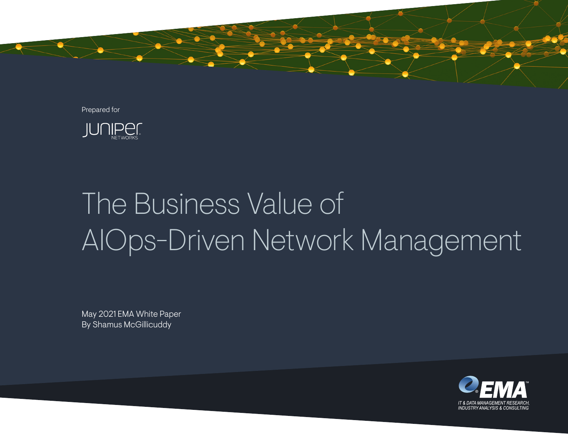

Prepared for



# The Business Value of AIOps-Driven Network Management

May 2021 EMA White Paper By Shamus McGillicuddy

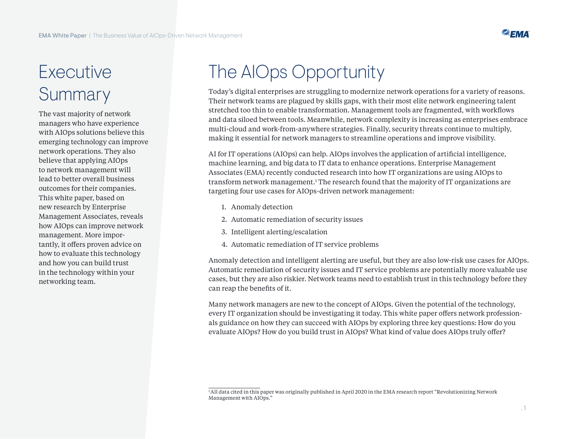

### Executive Summary

The vast majority of network managers who have experience with AIOps solutions believe this emerging technology can improve network operations. They also believe that applying AIOps to network management will lead to better overall business outcomes for their companies. This white paper, based on new research by Enterprise Management Associates, reveals how AIOps can improve network management. More importantly, it offers proven advice on how to evaluate this technology and how you can build trust in the technology within your networking team.

## The AIOps Opportunity

Today's digital enterprises are struggling to modernize network operations for a variety of reasons. Their network teams are plagued by skills gaps, with their most elite network engineering talent stretched too thin to enable transformation. Management tools are fragmented, with workflows and data siloed between tools. Meanwhile, network complexity is increasing as enterprises embrace multi-cloud and work-from-anywhere strategies. Finally, security threats continue to multiply, making it essential for network managers to streamline operations and improve visibility.

AI for IT operations (AIOps) can help. AIOps involves the application of artificial intelligence, machine learning, and big data to IT data to enhance operations. Enterprise Management Associates (EMA) recently conducted research into how IT organizations are using AIOps to transform network management.<sup>1</sup> The research found that the majority of IT organizations are targeting four use cases for AIOps-driven network management:

- 1. Anomaly detection
- 2. Automatic remediation of security issues
- 3. Intelligent alerting/escalation
- 4. Automatic remediation of IT service problems

Anomaly detection and intelligent alerting are useful, but they are also low-risk use cases for AIOps. Automatic remediation of security issues and IT service problems are potentially more valuable use cases, but they are also riskier. Network teams need to establish trust in this technology before they can reap the benefits of it.

Many network managers are new to the concept of AIOps. Given the potential of the technology, every IT organization should be investigating it today. This white paper offers network professionals guidance on how they can succeed with AIOps by exploring three key questions: How do you evaluate AIOps? How do you build trust in AIOps? What kind of value does AIOps truly offer?

<sup>&</sup>lt;sup>1</sup>All data cited in this paper was originally published in April 2020 in the EMA research report "Revolutionizing Network Management with AIOps."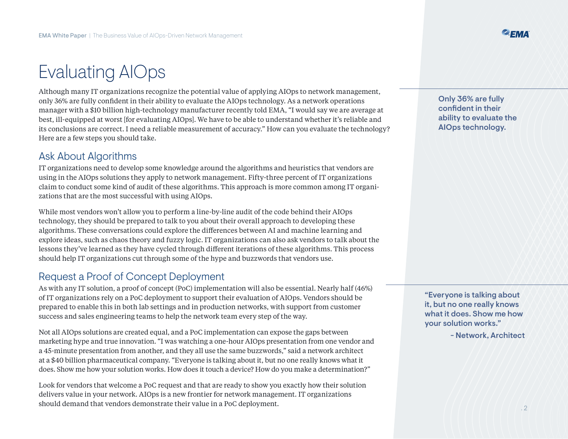### Evaluating AIOps

Although many IT organizations recognize the potential value of applying AIOps to network management, only 36% are fully confident in their ability to evaluate the AIOps technology. As a network operations manager with a \$10 billion high-technology manufacturer recently told EMA, "I would say we are average at best, ill-equipped at worst [for evaluating AIOps]. We have to be able to understand whether it's reliable and its conclusions are correct. I need a reliable measurement of accuracy." How can you evaluate the technology? Here are a few steps you should take.

#### Ask About Algorithms

IT organizations need to develop some knowledge around the algorithms and heuristics that vendors are using in the AIOps solutions they apply to network management. Fifty-three percent of IT organizations claim to conduct some kind of audit of these algorithms. This approach is more common among IT organizations that are the most successful with using AIOps.

While most vendors won't allow you to perform a line-by-line audit of the code behind their AIOps technology, they should be prepared to talk to you about their overall approach to developing these algorithms. These conversations could explore the differences between AI and machine learning and explore ideas, such as chaos theory and fuzzy logic. IT organizations can also ask vendors to talk about the lessons they've learned as they have cycled through different iterations of these algorithms. This process should help IT organizations cut through some of the hype and buzzwords that vendors use.

#### Request a Proof of Concept Deployment

As with any IT solution, a proof of concept (PoC) implementation will also be essential. Nearly half (46%) of IT organizations rely on a PoC deployment to support their evaluation of AIOps. Vendors should be prepared to enable this in both lab settings and in production networks, with support from customer success and sales engineering teams to help the network team every step of the way.

Not all AIOps solutions are created equal, and a PoC implementation can expose the gaps between marketing hype and true innovation. "I was watching a one-hour AIOps presentation from one vendor and a 45-minute presentation from another, and they all use the same buzzwords," said a network architect at a \$40 billion pharmaceutical company. "Everyone is talking about it, but no one really knows what it does. Show me how your solution works. How does it touch a device? How do you make a determination?"

Look for vendors that welcome a PoC request and that are ready to show you exactly how their solution delivers value in your network. AIOps is a new frontier for network management. IT organizations should demand that vendors demonstrate their value in a PoC deployment.

Only 36% are fully confident in their ability to evaluate the AIOps technology.

"Everyone is talking about it, but no one really knows what it does. Show me how your solution works."

- Network, Architect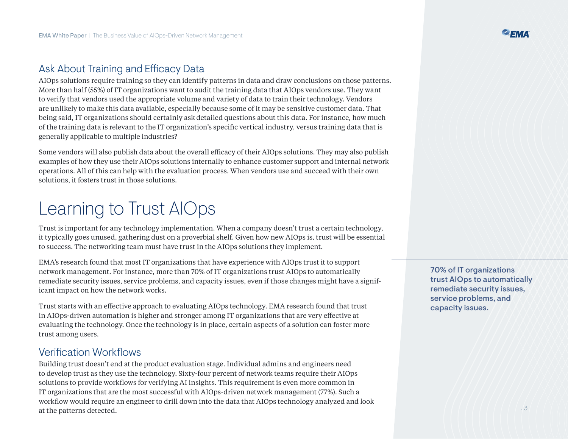### Ask About Training and Efficacy Data

AIOps solutions require training so they can identify patterns in data and draw conclusions on those patterns. More than half (55%) of IT organizations want to audit the training data that AIOps vendors use. They want to verify that vendors used the appropriate volume and variety of data to train their technology. Vendors are unlikely to make this data available, especially because some of it may be sensitive customer data. That being said, IT organizations should certainly ask detailed questions about this data. For instance, how much of the training data is relevant to the IT organization's specific vertical industry, versus training data that is generally applicable to multiple industries?

Some vendors will also publish data about the overall efficacy of their AIOps solutions. They may also publish examples of how they use their AIOps solutions internally to enhance customer support and internal network operations. All of this can help with the evaluation process. When vendors use and succeed with their own solutions, it fosters trust in those solutions.

### Learning to Trust AIOps

Trust is important for any technology implementation. When a company doesn't trust a certain technology, it typically goes unused, gathering dust on a proverbial shelf. Given how new AIOps is, trust will be essential to success. The networking team must have trust in the AIOps solutions they implement.

EMA's research found that most IT organizations that have experience with AIOps trust it to support network management. For instance, more than 70% of IT organizations trust AIOps to automatically remediate security issues, service problems, and capacity issues, even if those changes might have a significant impact on how the network works.

Trust starts with an effective approach to evaluating AIOps technology. EMA research found that trust in AIOps-driven automation is higher and stronger among IT organizations that are very effective at evaluating the technology. Once the technology is in place, certain aspects of a solution can foster more trust among users.

#### Verification Workflows

Building trust doesn't end at the product evaluation stage. Individual admins and engineers need to develop trust as they use the technology. Sixty-four percent of network teams require their AIOps solutions to provide workflows for verifying AI insights. This requirement is even more common in IT organizations that are the most successful with AIOps-driven network management (77%). Such a workflow would require an engineer to drill down into the data that AIOps technology analyzed and look at the patterns detected.

70% of IT organizations trust AIOps to automatically remediate security issues, service problems, and capacity issues.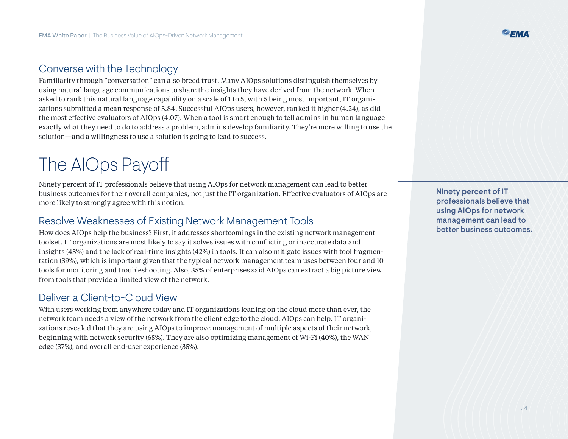### Converse with the Technology

Familiarity through "conversation" can also breed trust. Many AIOps solutions distinguish themselves by using natural language communications to share the insights they have derived from the network. When asked to rank this natural language capability on a scale of 1 to 5, with 5 being most important, IT organizations submitted a mean response of 3.84. Successful AIOps users, however, ranked it higher (4.24), as did the most effective evaluators of AIOps (4.07). When a tool is smart enough to tell admins in human language exactly what they need to do to address a problem, admins develop familiarity. They're more willing to use the solution—and a willingness to use a solution is going to lead to success.

### The AIOps Payoff

Ninety percent of IT professionals believe that using AIOps for network management can lead to better business outcomes for their overall companies, not just the IT organization. Effective evaluators of AIOps are more likely to strongly agree with this notion.

#### Resolve Weaknesses of Existing Network Management Tools

How does AIOps help the business? First, it addresses shortcomings in the existing network management toolset. IT organizations are most likely to say it solves issues with conflicting or inaccurate data and insights (43%) and the lack of real-time insights (42%) in tools. It can also mitigate issues with tool fragmentation (39%), which is important given that the typical network management team uses between four and 10 tools for monitoring and troubleshooting. Also, 35% of enterprises said AIOps can extract a big picture view from tools that provide a limited view of the network.

#### Deliver a Client-to-Cloud View

With users working from anywhere today and IT organizations leaning on the cloud more than ever, the network team needs a view of the network from the client edge to the cloud. AIOps can help. IT organizations revealed that they are using AIOps to improve management of multiple aspects of their network, beginning with network security (65%). They are also optimizing management of Wi-Fi (40%), the WAN edge (37%), and overall end-user experience (35%).

Ninety percent of IT professionals believe that using AIOps for network management can lead to better business outcomes.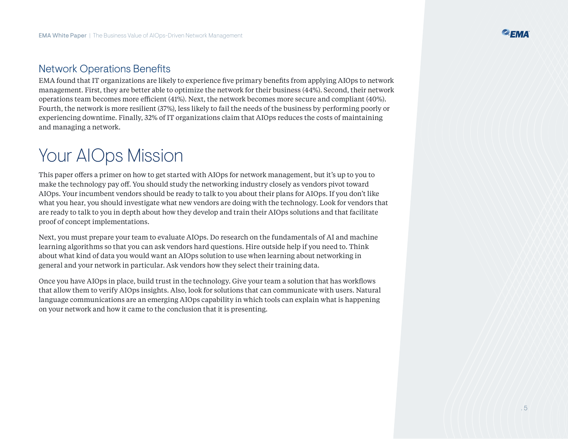#### Network Operations Benefits

EMA found that IT organizations are likely to experience five primary benefits from applying AIOps to network management. First, they are better able to optimize the network for their business (44%). Second, their network operations team becomes more efficient (41%). Next, the network becomes more secure and compliant (40%). Fourth, the network is more resilient (37%), less likely to fail the needs of the business by performing poorly or experiencing downtime. Finally, 32% of IT organizations claim that AIOps reduces the costs of maintaining and managing a network.

### Your AIOps Mission

This paper offers a primer on how to get started with AIOps for network management, but it's up to you to make the technology pay off. You should study the networking industry closely as vendors pivot toward AIOps. Your incumbent vendors should be ready to talk to you about their plans for AIOps. If you don't like what you hear, you should investigate what new vendors are doing with the technology. Look for vendors that are ready to talk to you in depth about how they develop and train their AIOps solutions and that facilitate proof of concept implementations.

Next, you must prepare your team to evaluate AIOps. Do research on the fundamentals of AI and machine learning algorithms so that you can ask vendors hard questions. Hire outside help if you need to. Think about what kind of data you would want an AIOps solution to use when learning about networking in general and your network in particular. Ask vendors how they select their training data.

Once you have AIOps in place, build trust in the technology. Give your team a solution that has workflows that allow them to verify AIOps insights. Also, look for solutions that can communicate with users. Natural language communications are an emerging AIOps capability in which tools can explain what is happening on your network and how it came to the conclusion that it is presenting.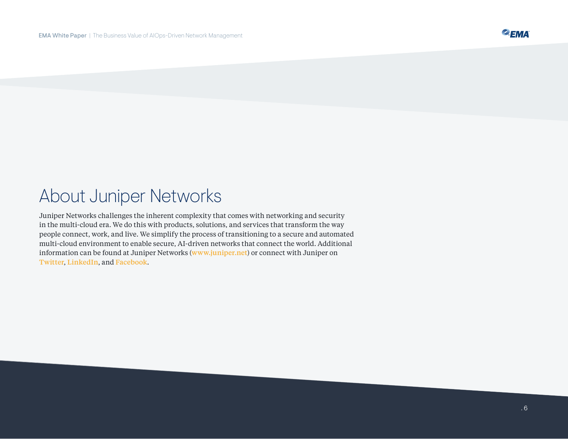### About Juniper Networks

Juniper Networks challenges the inherent complexity that comes with networking and security in the multi-cloud era. We do this with products, solutions, and services that transform the way people connect, work, and live. We simplify the process of transitioning to a secure and automated multi-cloud environment to enable secure, AI-driven networks that connect the world. Additional information can be found at Juniper Networks ([www.juniper.net](https://cts.businesswire.com/ct/CT?id=smartlink&url=http%3A%2F%2Fwww.juniper.net%2F&esheet=52419436&newsitemid=20210428005333&lan=en-US&anchor=www.juniper.net&index=16&md5=1a492598682e80b4c6db661a948eae2c)) or connect with Juniper on [Twitter](https://cts.businesswire.com/ct/CT?id=smartlink&url=https%3A%2F%2Ftwitter.com%2FJuniperNetworks&esheet=52419436&newsitemid=20210428005333&lan=en-US&anchor=Twitter&index=17&md5=8d337f0d304a73fe7b84969ca10f9315), [LinkedIn](https://cts.businesswire.com/ct/CT?id=smartlink&url=http%3A%2F%2Fwww.linkedin.com%2Fcompany%2Fjuniper-networks&esheet=52419436&newsitemid=20210428005333&lan=en-US&anchor=LinkedIn&index=18&md5=60ce3ae907affe228504e7671836dbe2), and [Facebook](https://cts.businesswire.com/ct/CT?id=smartlink&url=https%3A%2F%2Fwww.facebook.com%2FJuniperNetworks&esheet=52419436&newsitemid=20210428005333&lan=en-US&anchor=Facebook&index=19&md5=91d754e326f911f15952e6a6cdb10727).

<sup>2</sup>EMA